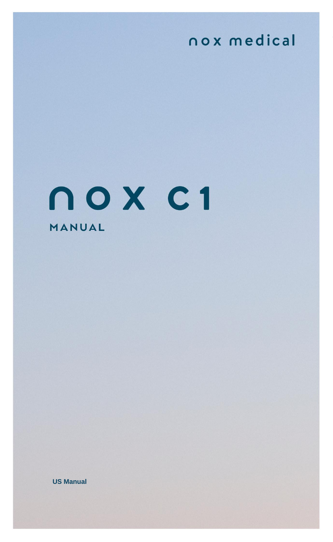# nox medical

# nox c1 MANUAL

**Company Medical Accords** 2020 November 2020 No. Medical Accords 2020 No. Medical Accords 2020 No. Medical Accords 2020 No. Medical Accords 2020 No. Medical Accords 2020 No. Medical Accords 2020 No. Medical Accords 2020 No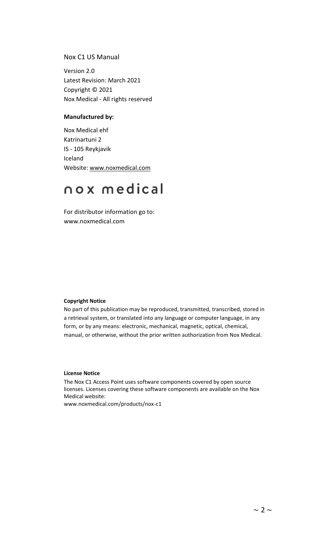#### Nox C1 US Manual

Version 2.0 Latest Revision: March 2021 Copyright © 2021 Nox Medical - All rights reserved

#### **Manufactured by:**

Nox Medical ehf Katrinartuni 2 IS - 105 Reykjavik Iceland Website: [www.noxmedical.com](http://www.noxmedical.com/)

## nox medical

For distributor information go to: www.noxmedical.com

#### **Copyright Notice**

No part of this publication may be reproduced, transmitted, transcribed, stored in a retrieval system, or translated into any language or computer language, in any form, or by any means: electronic, mechanical, magnetic, optical, chemical, manual, or otherwise, without the prior written authorization from Nox Medical.

#### **License Notice**

The Nox C1 Access Point uses software components covered by open source licenses. Licenses covering these software components are available on the Nox Medical website: www.noxmedical.com/products/nox-c1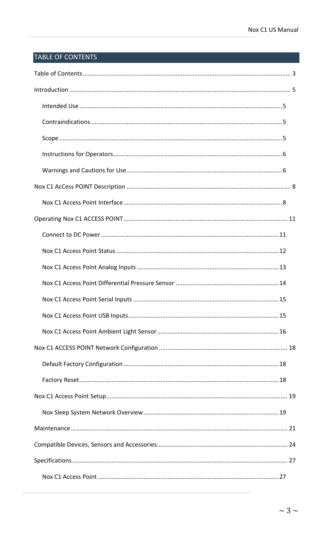## <span id="page-2-0"></span>**TABLE OF CONTENTS**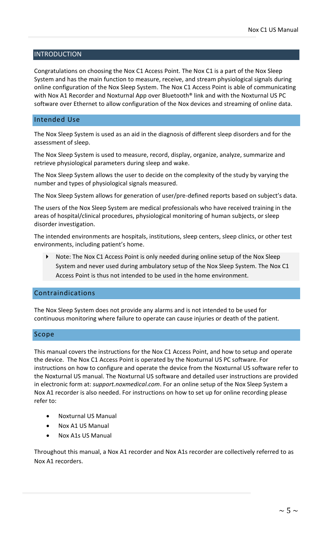#### <span id="page-4-0"></span>INTRODUCTION

Congratulations on choosing the Nox C1 Access Point. The Nox C1 is a part of the Nox Sleep System and has the main function to measure, receive, and stream physiological signals during online configuration of the Nox Sleep System. The Nox C1 Access Point is able of communicating with Nox A1 Recorder and Noxturnal App over Bluetooth® link and with the Noxturnal US PC software over Ethernet to allow configuration of the Nox devices and streaming of online data.

#### <span id="page-4-1"></span>Intended Use

The Nox Sleep System is used as an aid in the diagnosis of different sleep disorders and for the assessment of sleep.

The Nox Sleep System is used to measure, record, display, organize, analyze, summarize and retrieve physiological parameters during sleep and wake.

The Nox Sleep System allows the user to decide on the complexity of the study by varying the number and types of physiological signals measured.

The Nox Sleep System allows for generation of user/pre-defined reports based on subject's data.

The users of the Nox Sleep System are medical professionals who have received training in the areas of hospital/clinical procedures, physiological monitoring of human subjects, or sleep disorder investigation.

The intended environments are hospitals, institutions, sleep centers, sleep clinics, or other test environments, including patient's home.

 Note: The Nox C1 Access Point is only needed during online setup of the Nox Sleep System and never used during ambulatory setup of the Nox Sleep System. The Nox C1 Access Point is thus not intended to be used in the home environment.

#### <span id="page-4-2"></span>Contraindications

The Nox Sleep System does not provide any alarms and is not intended to be used for continuous monitoring where failure to operate can cause injuries or death of the patient.

#### <span id="page-4-3"></span>Scope

This manual covers the instructions for the Nox C1 Access Point, and how to setup and operate the device. The Nox C1 Access Point is operated by the Noxturnal US PC software. For instructions on how to configure and operate the device from the Noxturnal US software refer to the Noxturnal US manual. The Noxturnal US software and detailed user instructions are provided in electronic form at: *support.noxmedical.com*. For an online setup of the Nox Sleep System a Nox A1 recorder is also needed. For instructions on how to set up for online recording please refer to:

- Noxturnal US Manual
- Nox A1 US Manual
- Nox A1s US Manual

Throughout this manual, a Nox A1 recorder and Nox A1s recorder are collectively referred to as Nox A1 recorders.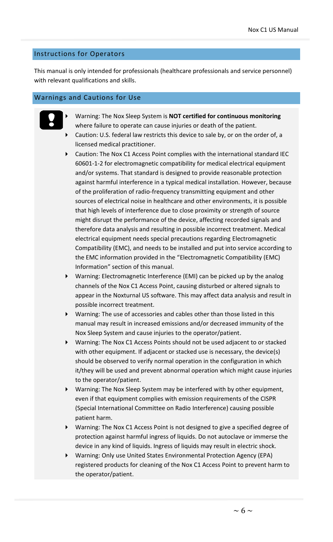#### <span id="page-5-0"></span>Instructions for Operators

This manual is only intended for professionals (healthcare professionals and service personnel) with relevant qualifications and skills.

#### <span id="page-5-1"></span>Warnings and Cautions for Use



- Warning: The Nox Sleep System is **NOT certified for continuous monitoring** where failure to operate can cause injuries or death of the patient. Caution: U.S. federal law restricts this device to sale by, or on the order of, a
- licensed medical practitioner.
- Caution: The Nox C1 Access Point complies with the international standard IEC 60601-1-2 for electromagnetic compatibility for medical electrical equipment and/or systems. That standard is designed to provide reasonable protection against harmful interference in a typical medical installation. However, because of the proliferation of radio-frequency transmitting equipment and other sources of electrical noise in healthcare and other environments, it is possible that high levels of interference due to close proximity or strength of source might disrupt the performance of the device, affecting recorded signals and therefore data analysis and resulting in possible incorrect treatment. Medical electrical equipment needs special precautions regarding Electromagnetic Compatibility (EMC), and needs to be installed and put into service according to the EMC information provided in the "Electromagnetic Compatibility (EMC) Information" section of this manual.
- Warning: Electromagnetic Interference (EMI) can be picked up by the analog channels of the Nox C1 Access Point, causing disturbed or altered signals to appear in the Noxturnal US software. This may affect data analysis and result in possible incorrect treatment.
- Warning: The use of accessories and cables other than those listed in this manual may result in increased emissions and/or decreased immunity of the Nox Sleep System and cause injuries to the operator/patient.
- Warning: The Nox C1 Access Points should not be used adjacent to or stacked with other equipment. If adjacent or stacked use is necessary, the device(s) should be observed to verify normal operation in the configuration in which it/they will be used and prevent abnormal operation which might cause injuries to the operator/patient.
- Warning: The Nox Sleep System may be interfered with by other equipment, even if that equipment complies with emission requirements of the CISPR (Special International Committee on Radio Interference) causing possible patient harm.
- Warning: The Nox C1 Access Point is not designed to give a specified degree of protection against harmful ingress of liquids. Do not autoclave or immerse the device in any kind of liquids. Ingress of liquids may result in electric shock.
- Warning: Only use United States Environmental Protection Agency (EPA) registered products for cleaning of the Nox C1 Access Point to prevent harm to the operator/patient.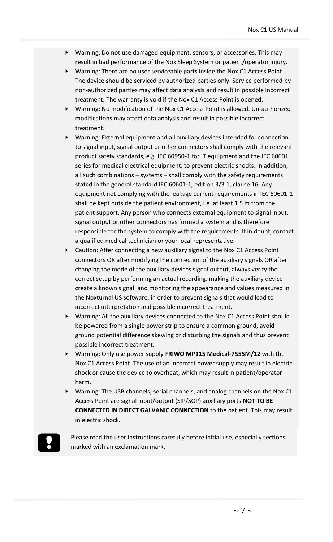- Warning: Do not use damaged equipment, sensors, or accessories. This may result in bad performance of the Nox Sleep System or patient/operator injury.
- Warning: There are no user serviceable parts inside the Nox C1 Access Point. The device should be serviced by authorized parties only. Service performed by non-authorized parties may affect data analysis and result in possible incorrect treatment. The warranty is void if the Nox C1 Access Point is opened.
- Warning: No modification of the Nox C1 Access Point is allowed. Un-authorized modifications may affect data analysis and result in possible incorrect treatment.
- Warning: External equipment and all auxiliary devices intended for connection to signal input, signal output or other connectors shall comply with the relevant product safety standards, e.g. IEC 60950-1 for IT equipment and the IEC 60601 series for medical electrical equipment, to prevent electric shocks. In addition, all such combinations – systems – shall comply with the safety requirements stated in the general standard IEC 60601-1, edition 3/3.1, clause 16. Any equipment not complying with the leakage current requirements in IEC 60601-1 shall be kept outside the patient environment, i.e. at least 1.5 m from the patient support. Any person who connects external equipment to signal input, signal output or other connectors has formed a system and is therefore responsible for the system to comply with the requirements. If in doubt, contact a qualified medical technician or your local representative.
- Caution: After connecting a new auxiliary signal to the Nox C1 Access Point connectors OR after modifying the connection of the auxiliary signals OR after changing the mode of the auxiliary devices signal output, always verify the correct setup by performing an actual recording, making the auxiliary device create a known signal, and monitoring the appearance and values measured in the Noxturnal US software, in order to prevent signals that would lead to incorrect interpretation and possible incorrect treatment.
- Warning: All the auxiliary devices connected to the Nox C1 Access Point should be powered from a single power strip to ensure a common ground, avoid ground potential difference skewing or disturbing the signals and thus prevent possible incorrect treatment.
- Warning: Only use power supply **FRIWO MP115 Medical-7555M/12** with the Nox C1 Access Point. The use of an incorrect power supply may result in electric shock or cause the device to overheat, which may result in patient/operator harm.
- Warning: The USB channels, serial channels, and analog channels on the Nox C1 Access Point are signal input/output (SIP/SOP) auxiliary ports **NOT TO BE CONNECTED IN DIRECT GALVANIC CONNECTION** to the patient. This may result in electric shock.

Please read the user instructions carefully before initial use, especially sections marked with an exclamation mark.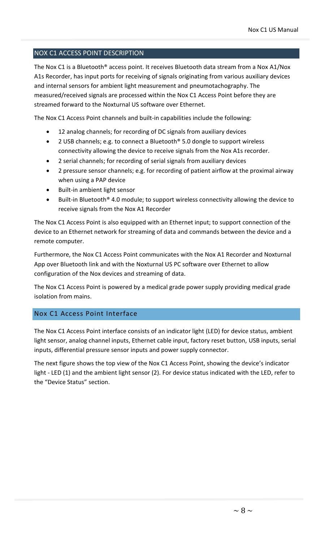#### <span id="page-7-0"></span>NOX C1 ACCESS POINT DESCRIPTION

The Nox C1 is a Bluetooth® access point. It receives Bluetooth data stream from a Nox A1/Nox A1s Recorder, has input ports for receiving of signals originating from various auxiliary devices and internal sensors for ambient light measurement and pneumotachography. The measured/received signals are processed within the Nox C1 Access Point before they are streamed forward to the Noxturnal US software over Ethernet.

The Nox C1 Access Point channels and built-in capabilities include the following:

- 12 analog channels; for recording of DC signals from auxiliary devices
- 2 USB channels; e.g. to connect a Bluetooth® 5.0 dongle to support wireless connectivity allowing the device to receive signals from the Nox A1s recorder.
- 2 serial channels; for recording of serial signals from auxiliary devices
- 2 pressure sensor channels; e.g. for recording of patient airflow at the proximal airway when using a PAP device
- Built-in ambient light sensor
- Built-in Bluetooth® 4.0 module; to support wireless connectivity allowing the device to receive signals from the Nox A1 Recorder

The Nox C1 Access Point is also equipped with an Ethernet input; to support connection of the device to an Ethernet network for streaming of data and commands between the device and a remote computer.

Furthermore, the Nox C1 Access Point communicates with the Nox A1 Recorder and Noxturnal App over Bluetooth link and with the Noxturnal US PC software over Ethernet to allow configuration of the Nox devices and streaming of data.

The Nox C1 Access Point is powered by a medical grade power supply providing medical grade isolation from mains.

#### <span id="page-7-1"></span>Nox C1 Access Point Interface

The Nox C1 Access Point interface consists of an indicator light (LED) for device status, ambient light sensor, analog channel inputs, Ethernet cable input, factory reset button, USB inputs, serial inputs, differential pressure sensor inputs and power supply connector.

The next figure shows the top view of the Nox C1 Access Point, showing the device's indicator light - LED (1) and the ambient light sensor (2). For device status indicated with the LED, refer to the "Device Status" section.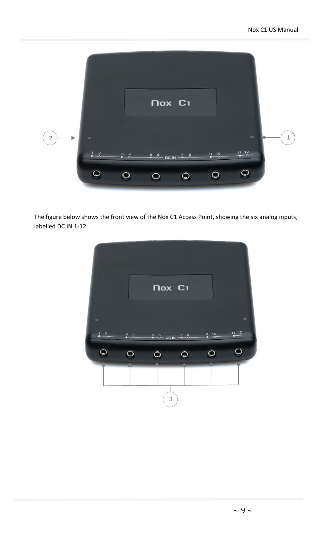

The figure below shows the front view of the Nox C1 Access Point, showing the six analog inputs, labelled DC IN 1-12.

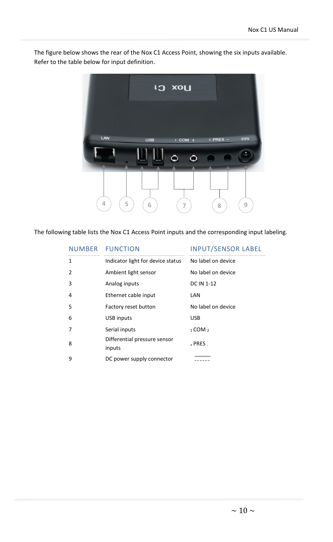The figure below shows the rear of the Nox C1 Access Point, showing the six inputs available. Refer to the table below for input definition.



The following table lists the Nox C1 Access Point inputs and the corresponding input labeling.

|                | NUMBER FUNCTION                        | <b>INPUT/SENSOR LABEL</b> |
|----------------|----------------------------------------|---------------------------|
| 1              | Indicator light for device status      | No label on device        |
| 2              | Ambient light sensor                   | No label on device        |
| 3              | Analog inputs                          | <b>DC IN 1-12</b>         |
| 4              | Ethernet cable input                   | LAN                       |
| .5             | Factory reset button                   | No label on device        |
| 6              | USB inputs                             | <b>USB</b>                |
| $\overline{7}$ | Serial inputs                          | $1$ COM $2$               |
| 8              | Differential pressure sensor<br>inputs | $+$ PRES $-$              |
| 9              | DC power supply connector              |                           |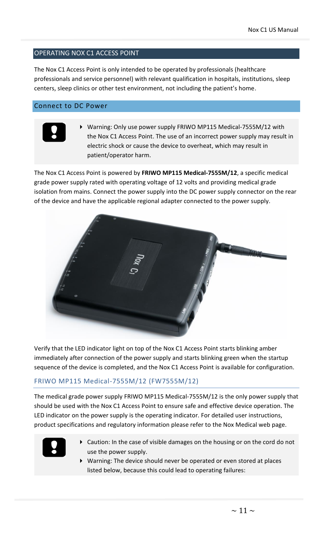#### <span id="page-10-0"></span>OPERATING NOX C1 ACCESS POINT

The Nox C1 Access Point is only intended to be operated by professionals (healthcare professionals and service personnel) with relevant qualification in hospitals, institutions, sleep centers, sleep clinics or other test environment, not including the patient's home.

#### <span id="page-10-1"></span>Connect to DC Power



 Warning: Only use power supply FRIWO MP115 Medical-7555M/12 with the Nox C1 Access Point. The use of an incorrect power supply may result in electric shock or cause the device to overheat, which may result in patient/operator harm.

The Nox C1 Access Point is powered by **FRIWO MP115 Medical-7555M/12**, a specific medical grade power supply rated with operating voltage of 12 volts and providing medical grade isolation from mains. Connect the power supply into the DC power supply connector on the rear of the device and have the applicable regional adapter connected to the power supply.



Verify that the LED indicator light on top of the Nox C1 Access Point starts blinking amber immediately after connection of the power supply and starts blinking green when the startup sequence of the device is completed, and the Nox C1 Access Point is available for configuration.

#### FRIWO MP115 Medical-7555M/12 (FW7555M/12)

The medical grade power supply FRIWO MP115 Medical-7555M/12 is the only power supply that should be used with the Nox C1 Access Point to ensure safe and effective device operation. The LED indicator on the power supply is the operating indicator. For detailed user instructions, product specifications and regulatory information please refer to the Nox Medical web page.



- Caution: In the case of visible damages on the housing or on the cord do not use the power supply.
	- Warning: The device should never be operated or even stored at places listed below, because this could lead to operating failures: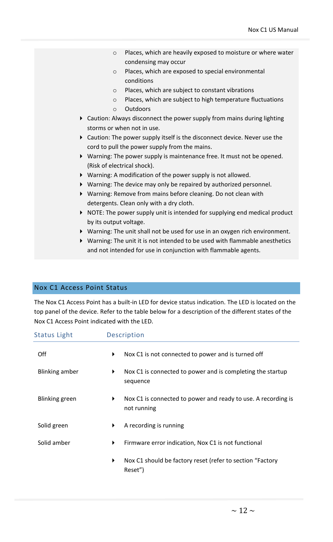- o Places, which are heavily exposed to moisture or where water condensing may occur
- o Places, which are exposed to special environmental conditions
- o Places, which are subject to constant vibrations
- o Places, which are subject to high temperature fluctuations
- o Outdoors
- Caution: Always disconnect the power supply from mains during lighting storms or when not in use.
- Caution: The power supply itself is the disconnect device. Never use the cord to pull the power supply from the mains.
- Warning: The power supply is maintenance free. It must not be opened. (Risk of electrical shock).
- Warning: A modification of the power supply is not allowed.
- Warning: The device may only be repaired by authorized personnel.
- Warning: Remove from mains before cleaning. Do not clean with detergents. Clean only with a dry cloth.
- ▶ NOTE: The power supply unit is intended for supplying end medical product by its output voltage.
- Warning: The unit shall not be used for use in an oxygen rich environment.
- Warning: The unit it is not intended to be used with flammable anesthetics and not intended for use in conjunction with flammable agents.

#### <span id="page-11-0"></span>Nox C1 Access Point Status

The Nox C1 Access Point has a built-in LED for device status indication. The LED is located on the top panel of the device. Refer to the table below for a description of the different states of the Nox C1 Access Point indicated with the LED.

| <b>Status Light</b> | <b>Description</b>                                                                |  |
|---------------------|-----------------------------------------------------------------------------------|--|
| Off                 | Nox C1 is not connected to power and is turned off<br>▶                           |  |
| Blinking amber      | Nox C1 is connected to power and is completing the startup<br>▶<br>sequence       |  |
| Blinking green      | Nox C1 is connected to power and ready to use. A recording is<br>▶<br>not running |  |
| Solid green         | A recording is running<br>▶                                                       |  |
| Solid amber         | Firmware error indication, Nox C1 is not functional<br>▶                          |  |
|                     | Nox C1 should be factory reset (refer to section "Factory<br>▶<br>Reset")         |  |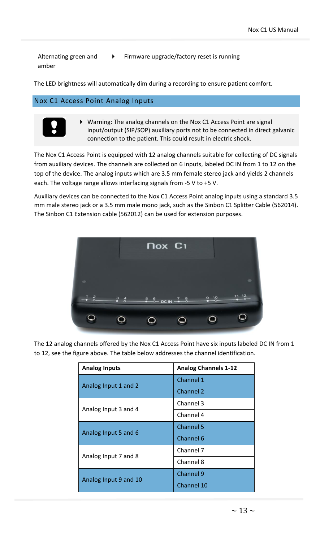Alternating green and amber

Firmware upgrade/factory reset is running

The LED brightness will automatically dim during a recording to ensure patient comfort.

#### <span id="page-12-0"></span>Nox C1 Access Point Analog Inputs



 Warning: The analog channels on the Nox C1 Access Point are signal input/output (SIP/SOP) auxiliary ports not to be connected in direct galvanic connection to the patient. This could result in electric shock.

The Nox C1 Access Point is equipped with 12 analog channels suitable for collecting of DC signals from auxiliary devices. The channels are collected on 6 inputs, labeled DC IN from 1 to 12 on the top of the device. The analog inputs which are 3.5 mm female stereo jack and yields 2 channels each. The voltage range allows interfacing signals from -5 V to +5 V.

Auxiliary devices can be connected to the Nox C1 Access Point analog inputs using a standard 3.5 mm male stereo jack or a 3.5 mm male mono jack, such as the Sinbon C1 Splitter Cable (562014). The Sinbon C1 Extension cable (562012) can be used for extension purposes.



The 12 analog channels offered by the Nox C1 Access Point have six inputs labeled DC IN from 1 to 12, see the figure above. The table below addresses the channel identification.

| <b>Analog Inputs</b>  | <b>Analog Channels 1-12</b> |
|-----------------------|-----------------------------|
| Analog Input 1 and 2  | Channel 1                   |
|                       | Channel 2                   |
| Analog Input 3 and 4  | Channel 3                   |
|                       | Channel 4                   |
| Analog Input 5 and 6  | Channel 5                   |
|                       | Channel 6                   |
|                       | Channel 7                   |
| Analog Input 7 and 8  | Channel 8                   |
| Analog Input 9 and 10 | Channel 9                   |
|                       | Channel 10                  |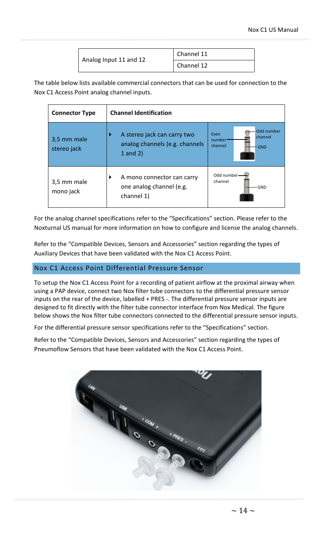|                        | Channel 11 |
|------------------------|------------|
| Analog Input 11 and 12 | Channel 12 |

The table below lists available commercial connectors that can be used for connection to the Nox C1 Access Point analog channel inputs.

| <b>Connector Type</b>      | <b>Channel Identification</b>                                                 |                                                                  |
|----------------------------|-------------------------------------------------------------------------------|------------------------------------------------------------------|
| 3,5 mm male<br>stereo jack | A stereo jack can carry two<br>analog channels (e.g. channels<br>$1$ and $2)$ | Odd number<br>Even<br>channel<br>number<br>channel<br><b>GND</b> |
| 3,5 mm male<br>mono jack   | A mono connector can carry<br>one analog channel (e.g.<br>channel 1)          | Odd number-<br>channel<br>GND                                    |

For the analog channel specifications refer to the "Specifications" section. Please refer to the Noxturnal US manual for more information on how to configure and license the analog channels.

Refer to the "Compatible Devices, Sensors and Accessories" section regarding the types of Auxiliary Devices that have been validated with the Nox C1 Access Point.

#### <span id="page-13-0"></span>Nox C1 Access Point Differential Pressure Sensor

To setup the Nox C1 Access Point for a recording of patient airflow at the proximal airway when using a PAP device, connect two Nox filter tube connectors to the differential pressure sensor inputs on the rear of the device, labelled + PRES -. The differential pressure sensor inputs are designed to fit directly with the filter tube connector interface from Nox Medical. The figure below shows the Nox filter tube connectors connected to the differential pressure sensor inputs.

For the differential pressure sensor specifications refer to the "Specifications" section.

Refer to the "Compatible Devices, Sensors and Accessories" section regarding the types of Pneumoflow Sensors that have been validated with the Nox C1 Access Point.

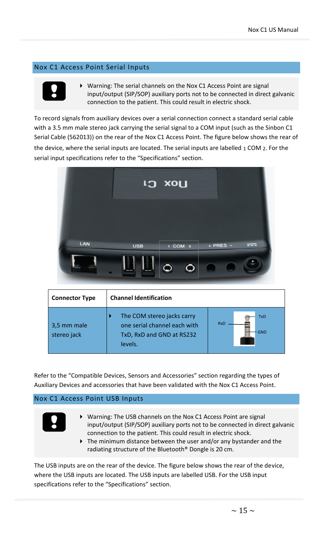#### <span id="page-14-0"></span>Nox C1 Access Point Serial Inputs



 Warning: The serial channels on the Nox C1 Access Point are signal input/output (SIP/SOP) auxiliary ports not to be connected in direct galvanic connection to the patient. This could result in electric shock.

To record signals from auxiliary devices over a serial connection connect a standard serial cable with a 3.5 mm male stereo jack carrying the serial signal to a COM input (such as the Sinbon C1 Serial Cable (562013)) on the rear of the Nox C1 Access Point. The figure below shows the rear of the device, where the serial inputs are located. The serial inputs are labelled  $_1$  COM  $_2$ . For the serial input specifications refer to the "Specifications" section.



| <b>Connector Type</b>      | <b>Channel Identification</b>                                                                      |                                        |
|----------------------------|----------------------------------------------------------------------------------------------------|----------------------------------------|
| 3,5 mm male<br>stereo jack | The COM stereo jacks carry<br>one serial channel each with<br>TxD, RxD and GND at RS232<br>levels. | <b>TxD</b><br><b>RxD</b><br><b>GND</b> |

Refer to the "Compatible Devices, Sensors and Accessories" section regarding the types of Auxiliary Devices and accessories that have been validated with the Nox C1 Access Point.

#### <span id="page-14-1"></span>Nox C1 Access Point USB Inputs



- Warning: The USB channels on the Nox C1 Access Point are signal input/output (SIP/SOP) auxiliary ports not to be connected in direct galvanic connection to the patient. This could result in electric shock.
- The minimum distance between the user and/or any bystander and the radiating structure of the Bluetooth® Dongle is 20 cm.

The USB inputs are on the rear of the device. The figure below shows the rear of the device, where the USB inputs are located. The USB inputs are labelled USB. For the USB input specifications refer to the "Specifications" section.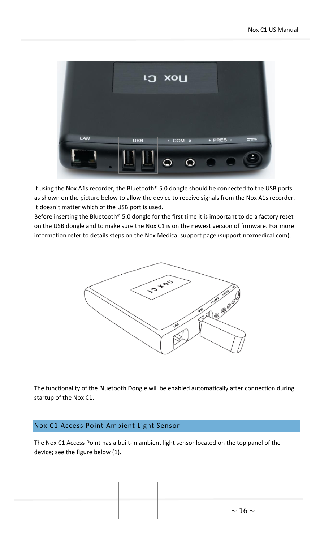

If using the Nox A1s recorder, the Bluetooth® 5.0 dongle should be connected to the USB ports as shown on the picture below to allow the device to receive signals from the Nox A1s recorder. It doesn't matter which of the USB port is used.

Before inserting the Bluetooth® 5.0 dongle for the first time it is important to do a factory reset on the USB dongle and to make sure the Nox C1 is on the newest version of firmware. For more information refer to details steps on the Nox Medical support page (support.noxmedical.com).



The functionality of the Bluetooth Dongle will be enabled automatically after connection during startup of the Nox C1.

#### <span id="page-15-0"></span>Nox C1 Access Point Ambient Light Sensor

The Nox C1 Access Point has a built-in ambient light sensor located on the top panel of the device; see the figure below (1).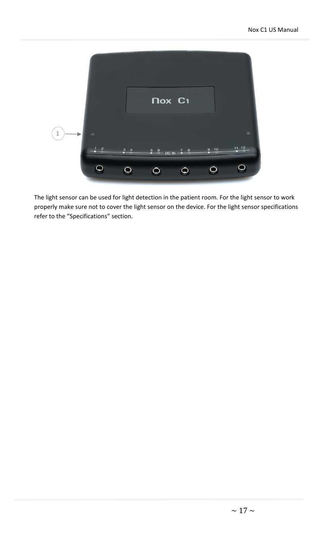

The light sensor can be used for light detection in the patient room. For the light sensor to work properly make sure not to cover the light sensor on the device. For the light sensor specifications refer to the "Specifications" section.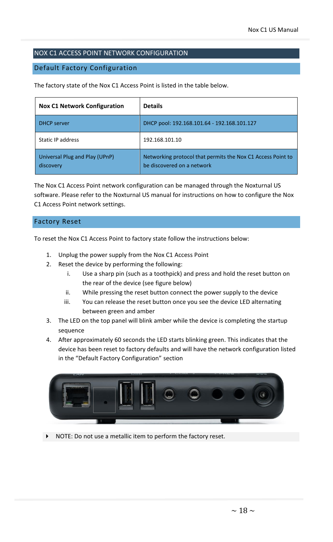#### <span id="page-17-0"></span>NOX C1 ACCESS POINT NETWORK CONFIGURATION

#### <span id="page-17-1"></span>Default Factory Configuration

The factory state of the Nox C1 Access Point is listed in the table below.

| <b>Nox C1 Network Configuration</b>         | <b>Details</b>                                                                            |
|---------------------------------------------|-------------------------------------------------------------------------------------------|
| <b>DHCP</b> server                          | DHCP pool: 192.168.101.64 - 192.168.101.127                                               |
| Static IP address                           | 192.168.101.10                                                                            |
| Universal Plug and Play (UPnP)<br>discovery | Networking protocol that permits the Nox C1 Access Point to<br>be discovered on a network |

The Nox C1 Access Point network configuration can be managed through the Noxturnal US software. Please refer to the Noxturnal US manual for instructions on how to configure the Nox C1 Access Point network settings.

#### <span id="page-17-2"></span>Factory Reset

To reset the Nox C1 Access Point to factory state follow the instructions below:

- 1. Unplug the power supply from the Nox C1 Access Point
- 2. Reset the device by performing the following:
	- i. Use a sharp pin (such as a toothpick) and press and hold the reset button on the rear of the device (see figure below)
	- ii. While pressing the reset button connect the power supply to the device
	- iii. You can release the reset button once you see the device LED alternating between green and amber
- 3. The LED on the top panel will blink amber while the device is completing the startup sequence
- 4. After approximately 60 seconds the LED starts blinking green. This indicates that the device has been reset to factory defaults and will have the network configuration listed in the "Default Factory Configuration" section



NOTE: Do not use a metallic item to perform the factory reset.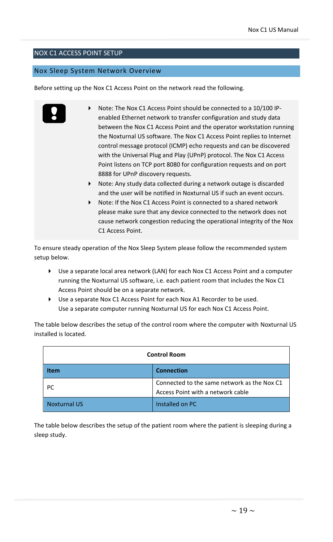#### <span id="page-18-0"></span>NOX C1 ACCESS POINT SETUP

#### <span id="page-18-1"></span>Nox Sleep System Network Overview

Before setting up the Nox C1 Access Point on the network read the following.

- Note: The Nox C1 Access Point should be connected to a 10/100 IPenabled Ethernet network to transfer configuration and study data between the Nox C1 Access Point and the operator workstation running the Noxturnal US software. The Nox C1 Access Point replies to Internet control message protocol (ICMP) echo requests and can be discovered with the Universal Plug and Play (UPnP) protocol. The Nox C1 Access Point listens on TCP port 8080 for configuration requests and on port 8888 for UPnP discovery requests.
	- Note: Any study data collected during a network outage is discarded and the user will be notified in Noxturnal US if such an event occurs.
	- Note: If the Nox C1 Access Point is connected to a shared network please make sure that any device connected to the network does not cause network congestion reducing the operational integrity of the Nox C1 Access Point.

To ensure steady operation of the Nox Sleep System please follow the recommended system setup below.

- Use a separate local area network (LAN) for each Nox C1 Access Point and a computer running the Noxturnal US software, i.e. each patient room that includes the Nox C1 Access Point should be on a separate network.
- Use a separate Nox C1 Access Point for each Nox A1 Recorder to be used. Use a separate computer running Noxturnal US for each Nox C1 Access Point.

The table below describes the setup of the control room where the computer with Noxturnal US installed is located.

| <b>Control Room</b> |                                                                                  |
|---------------------|----------------------------------------------------------------------------------|
| Item                | <b>Connection</b>                                                                |
| РC                  | Connected to the same network as the Nox C1<br>Access Point with a network cable |
| <b>Noxturnal US</b> | Installed on PC                                                                  |

The table below describes the setup of the patient room where the patient is sleeping during a sleep study.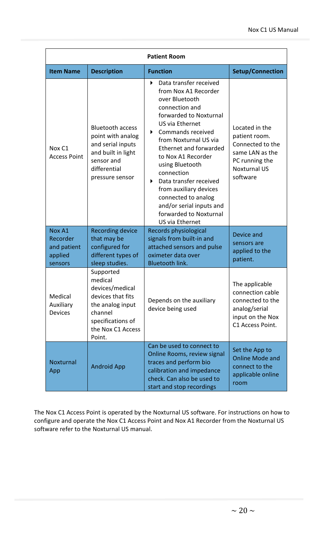| <b>Patient Room</b>                                     |                                                                                                                                                 |                                                                                                                                                                                                                                                                                                                                                                                                                                                              |                                                                                                                             |
|---------------------------------------------------------|-------------------------------------------------------------------------------------------------------------------------------------------------|--------------------------------------------------------------------------------------------------------------------------------------------------------------------------------------------------------------------------------------------------------------------------------------------------------------------------------------------------------------------------------------------------------------------------------------------------------------|-----------------------------------------------------------------------------------------------------------------------------|
| <b>Item Name</b>                                        | <b>Description</b>                                                                                                                              | <b>Function</b>                                                                                                                                                                                                                                                                                                                                                                                                                                              | <b>Setup/Connection</b>                                                                                                     |
| Nox C1<br><b>Access Point</b>                           | <b>Bluetooth access</b><br>point with analog<br>and serial inputs<br>and built in light<br>sensor and<br>differential<br>pressure sensor        | Data transfer received<br>$\blacktriangleright$<br>from Nox A1 Recorder<br>over Bluetooth<br>connection and<br>forwarded to Noxturnal<br>US via Ethernet<br>K<br>Commands received<br>from Noxturnal US via<br><b>Ethernet and forwarded</b><br>to Nox A1 Recorder<br>using Bluetooth<br>connection<br>Data transfer received<br>▶<br>from auxiliary devices<br>connected to analog<br>and/or serial inputs and<br>forwarded to Noxturnal<br>US via Ethernet | Located in the<br>patient room.<br>Connected to the<br>same LAN as the<br>PC running the<br><b>Noxturnal US</b><br>software |
| Nox A1<br>Recorder<br>and patient<br>applied<br>sensors | <b>Recording device</b><br>that may be<br>configured for<br>different types of<br>sleep studies.                                                | Records physiological<br>signals from built-in and<br>attached sensors and pulse<br>oximeter data over<br><b>Bluetooth link.</b>                                                                                                                                                                                                                                                                                                                             | Device and<br>sensors are<br>applied to the<br>patient.                                                                     |
| Medical<br>Auxiliary<br><b>Devices</b>                  | Supported<br>medical<br>devices/medical<br>devices that fits<br>the analog input<br>channel<br>specifications of<br>the Nox C1 Access<br>Point. | Depends on the auxiliary<br>device being used                                                                                                                                                                                                                                                                                                                                                                                                                | The applicable<br>connection cable<br>connected to the<br>analog/serial<br>input on the Nox<br>C1 Access Point.             |
| Noxturnal<br>App                                        | <b>Android App</b>                                                                                                                              | Can be used to connect to<br>Online Rooms, review signal<br>traces and perform bio<br>calibration and impedance<br>check. Can also be used to<br>start and stop recordings                                                                                                                                                                                                                                                                                   | Set the App to<br><b>Online Mode and</b><br>connect to the<br>applicable online<br>room                                     |

The Nox C1 Access Point is operated by the Noxturnal US software. For instructions on how to configure and operate the Nox C1 Access Point and Nox A1 Recorder from the Noxturnal US software refer to the Noxturnal US manual.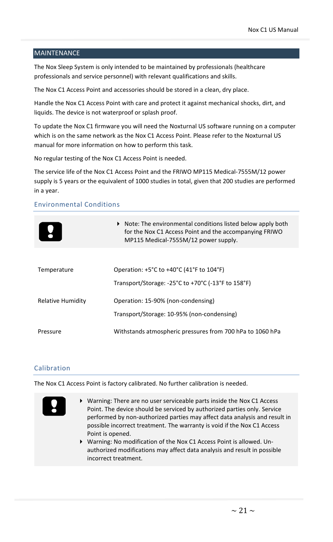#### <span id="page-20-0"></span>**MAINTENANCE**

The Nox Sleep System is only intended to be maintained by professionals (healthcare professionals and service personnel) with relevant qualifications and skills.

The Nox C1 Access Point and accessories should be stored in a clean, dry place.

Handle the Nox C1 Access Point with care and protect it against mechanical shocks, dirt, and liquids. The device is not waterproof or splash proof.

To update the Nox C1 firmware you will need the Noxturnal US software running on a computer which is on the same network as the Nox C1 Access Point. Please refer to the Noxturnal US manual for more information on how to perform this task.

No regular testing of the Nox C1 Access Point is needed.

The service life of the Nox C1 Access Point and the FRIWO MP115 Medical-7555M/12 power supply is 5 years or the equivalent of 1000 studies in total, given that 200 studies are performed in a year.

#### Environmental Conditions

|                   | $\triangleright$ Note: The environmental conditions listed below apply both<br>for the Nox C1 Access Point and the accompanying FRIWO<br>MP115 Medical-7555M/12 power supply. |
|-------------------|-------------------------------------------------------------------------------------------------------------------------------------------------------------------------------|
|                   |                                                                                                                                                                               |
| Temperature       | Operation: $+5^{\circ}$ C to $+40^{\circ}$ C (41°F to 104°F)                                                                                                                  |
|                   | Transport/Storage: $-25^{\circ}$ C to $+70^{\circ}$ C ( $-13^{\circ}$ F to 158 $^{\circ}$ F)                                                                                  |
| Relative Humidity | Operation: 15-90% (non-condensing)                                                                                                                                            |
|                   | Transport/Storage: 10-95% (non-condensing)                                                                                                                                    |
| Pressure          | Withstands atmospheric pressures from 700 hPa to 1060 hPa                                                                                                                     |

#### Calibration

The Nox C1 Access Point is factory calibrated. No further calibration is needed.

- Warning: There are no user serviceable parts inside the Nox C1 Access Point. The device should be serviced by authorized parties only. Service performed by non-authorized parties may affect data analysis and result in possible incorrect treatment. The warranty is void if the Nox C1 Access Point is opened.
	- Warning: No modification of the Nox C1 Access Point is allowed. Unauthorized modifications may affect data analysis and result in possible incorrect treatment.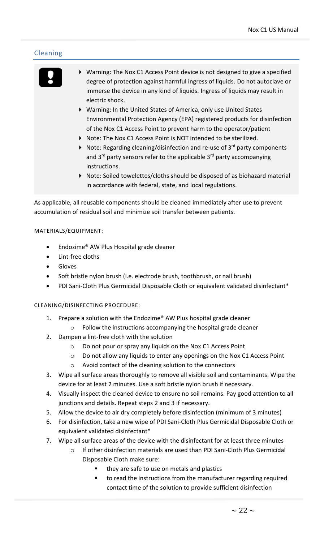#### Cleaning



- Warning: The Nox C1 Access Point device is not designed to give a specified degree of protection against harmful ingress of liquids. Do not autoclave or immerse the device in any kind of liquids. Ingress of liquids may result in electric shock.
- Warning: In the United States of America, only use United States Environmental Protection Agency (EPA) registered products for disinfection of the Nox C1 Access Point to prevent harm to the operator/patient
- Note: The Nox C1 Access Point is NOT intended to be sterilized.
- $\blacktriangleright$  Note: Regarding cleaning/disinfection and re-use of 3<sup>rd</sup> party components and  $3^{rd}$  party sensors refer to the applicable  $3^{rd}$  party accompanying instructions.
- Note: Soiled towelettes/cloths should be disposed of as biohazard material in accordance with federal, state, and local regulations.

As applicable, all reusable components should be cleaned immediately after use to prevent accumulation of residual soil and minimize soil transfer between patients.

#### MATERIALS/EQUIPMENT:

- Endozime® AW Plus Hospital grade cleaner
- Lint-free cloths
- **Gloves**
- Soft bristle nylon brush (i.e. electrode brush, toothbrush, or nail brush)
- PDI Sani-Cloth Plus Germicidal Disposable Cloth or equivalent validated disinfectant\*

#### CLEANING/DISINFECTING PROCEDURE:

- 1. Prepare a solution with the Endozime® AW Plus hospital grade cleaner
	- o Follow the instructions accompanying the hospital grade cleaner
- 2. Dampen a lint-free cloth with the solution
	- o Do not pour or spray any liquids on the Nox C1 Access Point
	- o Do not allow any liquids to enter any openings on the Nox C1 Access Point
	- o Avoid contact of the cleaning solution to the connectors
- 3. Wipe all surface areas thoroughly to remove all visible soil and contaminants. Wipe the device for at least 2 minutes. Use a soft bristle nylon brush if necessary.
- 4. Visually inspect the cleaned device to ensure no soil remains. Pay good attention to all junctions and details. Repeat steps 2 and 3 if necessary.
- 5. Allow the device to air dry completely before disinfection (minimum of 3 minutes)
- 6. For disinfection, take a new wipe of PDI Sani-Cloth Plus Germicidal Disposable Cloth or equivalent validated disinfectant\*
- 7. Wipe all surface areas of the device with the disinfectant for at least three minutes
	- o If other disinfection materials are used than PDI Sani-Cloth Plus Germicidal Disposable Cloth make sure:
		- they are safe to use on metals and plastics
		- to read the instructions from the manufacturer regarding required contact time of the solution to provide sufficient disinfection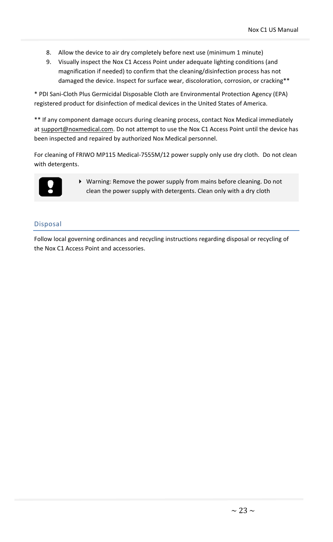- 8. Allow the device to air dry completely before next use (minimum 1 minute)
- 9. Visually inspect the Nox C1 Access Point under adequate lighting conditions (and magnification if needed) to confirm that the cleaning/disinfection process has not damaged the device. Inspect for surface wear, discoloration, corrosion, or cracking\*\*

\* PDI Sani-Cloth Plus Germicidal Disposable Cloth are Environmental Protection Agency (EPA) registered product for disinfection of medical devices in the United States of America.

\*\* If any component damage occurs during cleaning process, contact Nox Medical immediately a[t support@noxmedical.com.](mailto:support@noxmedical.com) Do not attempt to use the Nox C1 Access Point until the device has been inspected and repaired by authorized Nox Medical personnel.

For cleaning of FRIWO MP115 Medical-7555M/12 power supply only use dry cloth. Do not clean with detergents.



 Warning: Remove the power supply from mains before cleaning. Do not clean the power supply with detergents. Clean only with a dry cloth

#### Disposal

Follow local governing ordinances and recycling instructions regarding disposal or recycling of the Nox C1 Access Point and accessories.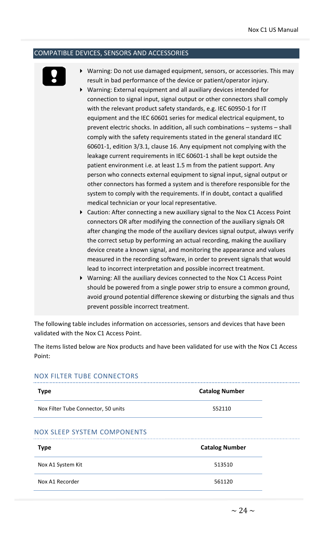#### <span id="page-23-0"></span>COMPATIBLE DEVICES, SENSORS AND ACCESSORIES



- Warning: Do not use damaged equipment, sensors, or accessories. This may result in bad performance of the device or patient/operator injury.
- Warning: External equipment and all auxiliary devices intended for connection to signal input, signal output or other connectors shall comply with the relevant product safety standards, e.g. IEC 60950-1 for IT equipment and the IEC 60601 series for medical electrical equipment, to prevent electric shocks. In addition, all such combinations – systems – shall comply with the safety requirements stated in the general standard IEC 60601-1, edition 3/3.1, clause 16. Any equipment not complying with the leakage current requirements in IEC 60601-1 shall be kept outside the patient environment i.e. at least 1.5 m from the patient support. Any person who connects external equipment to signal input, signal output or other connectors has formed a system and is therefore responsible for the system to comply with the requirements. If in doubt, contact a qualified medical technician or your local representative.
- Caution: After connecting a new auxiliary signal to the Nox C1 Access Point connectors OR after modifying the connection of the auxiliary signals OR after changing the mode of the auxiliary devices signal output, always verify the correct setup by performing an actual recording, making the auxiliary device create a known signal, and monitoring the appearance and values measured in the recording software, in order to prevent signals that would lead to incorrect interpretation and possible incorrect treatment.
- Warning: All the auxiliary devices connected to the Nox C1 Access Point should be powered from a single power strip to ensure a common ground, avoid ground potential difference skewing or disturbing the signals and thus prevent possible incorrect treatment.

The following table includes information on accessories, sensors and devices that have been validated with the Nox C1 Access Point.

The items listed below are Nox products and have been validated for use with the Nox C1 Access Point:

#### NOX FILTER TUBE CONNECTORS

| <b>Type</b>                         | <b>Catalog Number</b> |
|-------------------------------------|-----------------------|
| Nox Filter Tube Connector, 50 units | 552110                |
| NOX SLEEP SYSTEM COMPONENTS         |                       |

| <b>Type</b>       | <b>Catalog Number</b> |
|-------------------|-----------------------|
| Nox A1 System Kit | 513510                |
| Nox A1 Recorder   | 561120                |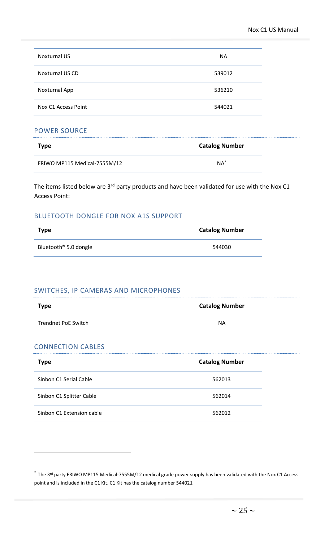| <b>Noxturnal US</b>    | <b>NA</b> |
|------------------------|-----------|
| <b>Noxturnal US CD</b> | 539012    |
| Noxturnal App          | 536210    |
| Nox C1 Access Point    | 544021    |

#### POWER SOURCE

| <b>Type</b>                  | <b>Catalog Number</b> |
|------------------------------|-----------------------|
| FRIWO MP115 Medical-7555M/12 | $NA^*$                |

The items listed below are 3<sup>rd</sup> party products and have been validated for use with the Nox C1 Access Point:

#### BLUETOOTH DONGLE FOR NOX A1S SUPPORT

| Type                              | <b>Catalog Number</b> |
|-----------------------------------|-----------------------|
| Bluetooth <sup>®</sup> 5.0 dongle | 544030                |

#### SWITCHES, IP CAMERAS AND MICROPHONES

| Type                | <b>Catalog Number</b> |
|---------------------|-----------------------|
| Trendnet PoE Switch | ΝA                    |

#### CONNECTION CABLES

| <b>Type</b>               | <b>Catalog Number</b> |
|---------------------------|-----------------------|
| Sinbon C1 Serial Cable    | 562013                |
| Sinbon C1 Splitter Cable  | 562014                |
| Sinbon C1 Extension cable | 562012                |

<sup>\*</sup> The 3<sup>rd</sup> party FRIWO MP115 Medical-7555M/12 medical grade power supply has been validated with the Nox C1 Access point and is included in the C1 Kit. C1 Kit has the catalog number 544021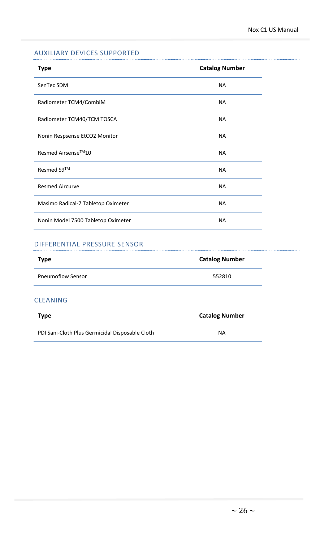#### AUXILIARY DEVICES SUPPORTED

| <b>Type</b>                        | <b>Catalog Number</b> |
|------------------------------------|-----------------------|
| SenTec SDM                         | <b>NA</b>             |
| Radiometer TCM4/CombiM             | <b>NA</b>             |
| Radiometer TCM40/TCM TOSCA         | <b>NA</b>             |
| Nonin Respsense EtCO2 Monitor      | <b>NA</b>             |
| Resmed Airsense™10                 | <b>NA</b>             |
| Resmed S9™                         | <b>NA</b>             |
| <b>Resmed Aircurve</b>             | <b>NA</b>             |
| Masimo Radical-7 Tabletop Oximeter | <b>NA</b>             |
| Nonin Model 7500 Tabletop Oximeter | <b>NA</b>             |

#### DIFFERENTIAL PRESSURE SENSOR

| <b>Type</b>                                     | <b>Catalog Number</b> |
|-------------------------------------------------|-----------------------|
| <b>Pneumoflow Sensor</b>                        | 552810                |
| <b>CLEANING</b>                                 |                       |
| <b>Type</b>                                     | <b>Catalog Number</b> |
| PDI Sani-Cloth Plus Germicidal Disposable Cloth | NА                    |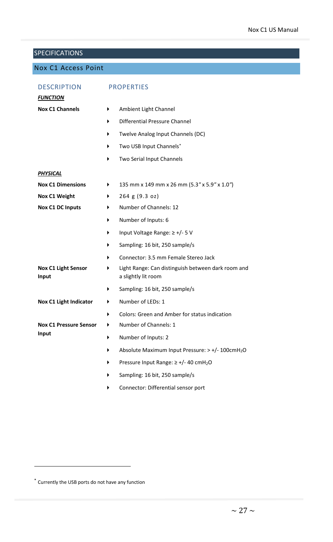#### <span id="page-26-0"></span>**SPECIFICATIONS**

#### <span id="page-26-1"></span>Nox C1 Access Point

| <b>DESCRIPTION</b><br><b>FUNCTION</b>      | <b>PROPERTIES</b>        |                                                                           |  |
|--------------------------------------------|--------------------------|---------------------------------------------------------------------------|--|
| <b>Nox C1 Channels</b>                     | ▶                        | Ambient Light Channel                                                     |  |
|                                            | ▶                        | Differential Pressure Channel                                             |  |
|                                            | ▶                        | Twelve Analog Input Channels (DC)                                         |  |
|                                            | ▶                        | Two USB Input Channels*                                                   |  |
|                                            | ▶                        | Two Serial Input Channels                                                 |  |
| <u>PHYSICAL</u>                            |                          |                                                                           |  |
| <b>Nox C1 Dimensions</b>                   | ▶                        | 135 mm x 149 mm x 26 mm (5.3" x 5.9" x 1.0")                              |  |
| Nox C1 Weight                              | ▶                        | 264 g (9.3 oz)                                                            |  |
| <b>Nox C1 DC Inputs</b>                    | ▶                        | Number of Channels: 12                                                    |  |
|                                            | ▶                        | Number of Inputs: 6                                                       |  |
|                                            | ▶                        | Input Voltage Range: ≥ +/- 5 V                                            |  |
|                                            | ▶                        | Sampling: 16 bit, 250 sample/s                                            |  |
|                                            | ▶                        | Connector: 3.5 mm Female Stereo Jack                                      |  |
| <b>Nox C1 Light Sensor</b><br><b>Input</b> | ▶                        | Light Range: Can distinguish between dark room and<br>a slightly lit room |  |
|                                            | ▶                        | Sampling: 16 bit, 250 sample/s                                            |  |
| <b>Nox C1 Light Indicator</b>              | ▶                        | Number of LEDs: 1                                                         |  |
|                                            | ▶                        | Colors: Green and Amber for status indication                             |  |
| <b>Nox C1 Pressure Sensor</b>              | ▶                        | Number of Channels: 1                                                     |  |
| Input                                      | Number of Inputs: 2<br>▶ |                                                                           |  |
|                                            | ▶                        | Absolute Maximum Input Pressure: > +/- 100cmH <sub>2</sub> O              |  |
|                                            | ▶                        | Pressure Input Range: $\geq$ +/- 40 cmH <sub>2</sub> O                    |  |
|                                            | ▶                        | Sampling: 16 bit, 250 sample/s                                            |  |
|                                            | ▶                        | Connector: Differential sensor port                                       |  |

<sup>\*</sup> Currently the USB ports do not have any function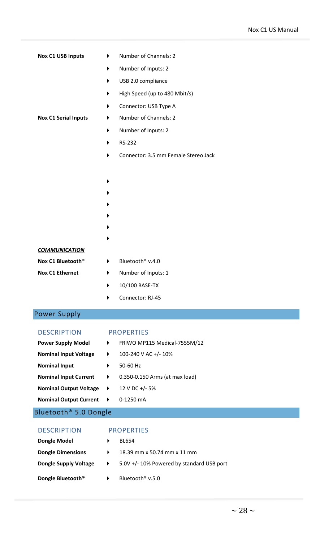| <b>Nox C1 USB Inputs</b>      | Number of Channels: 2<br>▶           |
|-------------------------------|--------------------------------------|
|                               | Number of Inputs: 2<br>▶             |
|                               | USB 2.0 compliance<br>▶              |
|                               | High Speed (up to 480 Mbit/s)<br>▶   |
|                               | Connector: USB Type A<br>▶           |
| <b>Nox C1 Serial Inputs</b>   | Number of Channels: 2<br>▶           |
|                               | Number of Inputs: 2<br>▶             |
|                               | RS-232<br>▶                          |
|                               | Connector: 3.5 mm Female Stereo Jack |
|                               |                                      |
|                               | ▶                                    |
|                               |                                      |
|                               |                                      |
|                               |                                      |
|                               |                                      |
|                               |                                      |
| <b>COMMUNICATION</b>          |                                      |
| Nox C1 Bluetooth <sup>®</sup> | Bluetooth <sup>®</sup> v.4.0<br>▶    |
| <b>Nox C1 Ethernet</b>        | Number of Inputs: 1<br>▶             |
|                               | 10/100 BASE-TX<br>▶                  |
|                               | Connector: RJ-45                     |
| <b>Power Supply</b>           |                                      |
|                               |                                      |
| <b>DESCRIPTION</b>            | <b>PROPERTIES</b>                    |
| <b>Power Supply Model</b>     | FRIWO MP115 Medical-7555M/12<br>▶    |
| <b>Nominal Input Voltage</b>  | 100-240 V AC +/- 10%<br>▶            |
| <b>Nominal Input</b>          | 50-60 Hz<br>▶                        |
| <b>Nominal Input Current</b>  | ▶<br>0.350-0.150 Arms (at max load)  |

- 
- <span id="page-27-0"></span>12 V DC  $+/- 5%$ **Nominal Output Voltage**  $\rightarrow$
- $0-1250$  mA **Nominal Output Current**  $\rightarrow$
- <span id="page-27-1"></span>Bluetooth® 5.0 Dongle

#### DESCRIPTION PROPERTIES

- **Dongle Model BL654** 
	-
- **Dongle Dimensions 18.39 mm x 50.74 mm x 11 mm**
- **Dongle Supply Voltage**  $\rightarrow$  **5.0V +/-10% Powered by standard USB port**
- **Dongle Bluetooth<sup>®</sup>**  $\longrightarrow$  Bluetooth<sup>®</sup> v.5.0

 $\sim$  28  $\sim$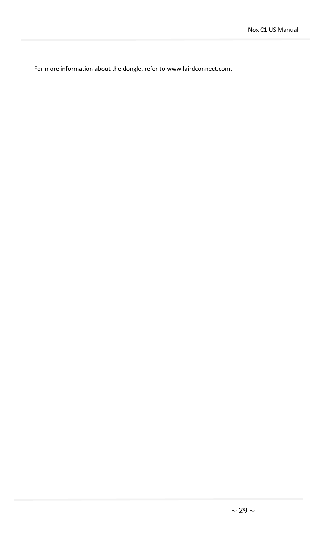For more information about the dongle, refer to www.lairdconnect.com.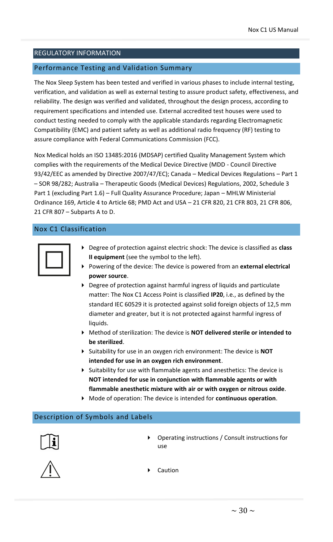#### <span id="page-29-0"></span>REGULATORY INFORMATION

#### <span id="page-29-1"></span>Performance Testing and Validation Summary

The Nox Sleep System has been tested and verified in various phases to include internal testing, verification, and validation as well as external testing to assure product safety, effectiveness, and reliability. The design was verified and validated, throughout the design process, according to requirement specifications and intended use. External accredited test houses were used to conduct testing needed to comply with the applicable standards regarding Electromagnetic Compatibility (EMC) and patient safety as well as additional radio frequency (RF) testing to assure compliance with Federal Communications Commission (FCC).

Nox Medical holds an ISO 13485:2016 (MDSAP) certified Quality Management System which complies with the requirements of the Medical Device Directive (MDD - Council Directive 93/42/EEC as amended by Directive 2007/47/EC); Canada – Medical Devices Regulations – Part 1 – SOR 98/282; Australia – Therapeutic Goods (Medical Devices) Regulations, 2002, Schedule 3 Part 1 (excluding Part 1.6) – Full Quality Assurance Procedure; Japan – MHLW Ministerial Ordinance 169, Article 4 to Article 68; PMD Act and USA – 21 CFR 820, 21 CFR 803, 21 CFR 806, 21 CFR 807 – Subparts A to D.

#### <span id="page-29-2"></span>Nox C1 Classification

- Degree of protection against electric shock: The device is classified as **class II equipment** (see the symbol to the left).
- Powering of the device: The device is powered from an **external electrical power source**.
- Degree of protection against harmful ingress of liquids and particulate matter: The Nox C1 Access Point is classified **IP20**, i.e., as defined by the standard IEC 60529 it is protected against solid foreign objects of 12,5 mm diameter and greater, but it is not protected against harmful ingress of liquids.
- Method of sterilization: The device is **NOT delivered sterile or intended to be sterilized**.
- Suitability for use in an oxygen rich environment: The device is **NOT intended for use in an oxygen rich environment**.
- Suitability for use with flammable agents and anesthetics: The device is **NOT intended for use in conjunction with flammable agents or with flammable anesthetic mixture with air or with oxygen or nitrous oxide**.
- Mode of operation: The device is intended for **continuous operation**.

#### <span id="page-29-3"></span>Description of Symbols and Labels



 Operating instructions / Consult instructions for use



Caution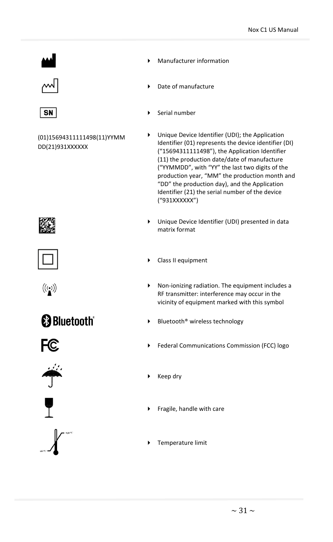





(01)15694311111498(11)YYMM DD(21)931XXXXXX



- Date of manufacture
- Serial number
- Unique Device Identifier (UDI); the Application Identifier (01) represents the device identifier (DI) ("15694311111498"), the Application Identifier (11) the production date/date of manufacture ("YYMMDD", with "YY" the last two digits of the production year, "MM" the production month and "DD" the production day), and the Application Identifier (21) the serial number of the device ("931XXXXXX")
- Unique Device Identifier (UDI) presented in data matrix format
- ▶ Class II equipment
- Non-ionizing radiation. The equipment includes a RF transmitter: interference may occur in the vicinity of equipment marked with this symbol
- $\blacktriangleright$  Bluetooth<sup>®</sup> wireless technology
- Federal Communications Commission (FCC) logo



 $\blacktriangleright$  Keep dry

- $\blacktriangleright$  Fragile, handle with care
- **F** Temperature limit





 $((\underline{\bullet}))$ 

**B** Bluetooth<sup>®</sup>







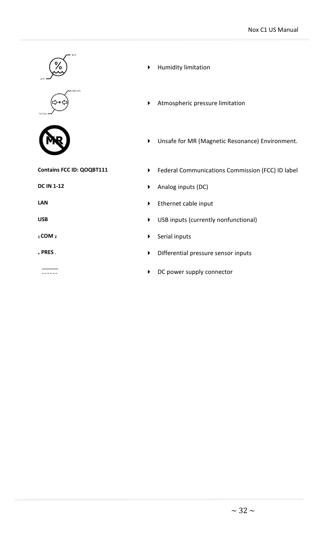





 $\frac{1}{\sqrt{1-\frac{1}{2}}}\left( \frac{1}{\sqrt{1-\frac{1}{2}}}\right) ^{2}$ 

- Humidity limitation
- Atmospheric pressure limitation
- Unsafe for MR (Magnetic Resonance) Environment.
- **Contains FCC ID: QOQBT111** Federal Communications Commission (FCC) ID label
- **DC IN 1-12 Analog inputs (DC)**
- **LAN Ethernet cable input**
- USB **USB USB** inputs (currently nonfunctional)
- **1COM 2 12 b 2 b 5erial inputs**
- **<sup>+</sup> PRES -** Differential pressure sensor inputs
	- DC power supply connector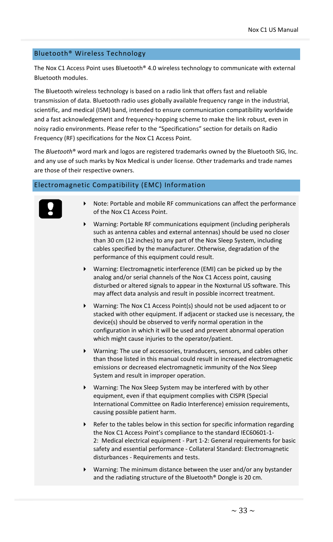#### <span id="page-32-0"></span>Bluetooth® Wireless Technology

The Nox C1 Access Point uses Bluetooth® 4.0 wireless technology to communicate with external Bluetooth modules.

The Bluetooth wireless technology is based on a radio link that offers fast and reliable transmission of data. Bluetooth radio uses globally available frequency range in the industrial, scientific, and medical (ISM) band, intended to ensure communication compatibility worldwide and a fast acknowledgement and frequency-hopping scheme to make the link robust, even in noisy radio environments. Please refer to the "Specifications" section for details on Radio Frequency (RF) specifications for the Nox C1 Access Point.

The *Bluetooth*® word mark and logos are registered trademarks owned by the Bluetooth SIG, Inc. and any use of such marks by Nox Medical is under license. Other trademarks and trade names are those of their respective owners.

#### <span id="page-32-1"></span>Electromagnetic Compatibility (EMC) Information



- Note: Portable and mobile RF communications can affect the performance of the Nox C1 Access Point.
- Warning: Portable RF communications equipment (including peripherals such as antenna cables and external antennas) should be used no closer than 30 cm (12 inches) to any part of the Nox Sleep System, including cables specified by the manufacturer. Otherwise, degradation of the performance of this equipment could result.
- Warning: Electromagnetic interference (EMI) can be picked up by the analog and/or serial channels of the Nox C1 Access point, causing disturbed or altered signals to appear in the Noxturnal US software. This may affect data analysis and result in possible incorrect treatment.
- Warning: The Nox C1 Access Point(s) should not be used adjacent to or stacked with other equipment. If adjacent or stacked use is necessary, the device(s) should be observed to verify normal operation in the configuration in which it will be used and prevent abnormal operation which might cause injuries to the operator/patient.
- Warning: The use of accessories, transducers, sensors, and cables other than those listed in this manual could result in increased electromagnetic emissions or decreased electromagnetic immunity of the Nox Sleep System and result in improper operation.
- Warning: The Nox Sleep System may be interfered with by other equipment, even if that equipment complies with CISPR (Special International Committee on Radio Interference) emission requirements, causing possible patient harm.
- Refer to the tables below in this section for specific information regarding the Nox C1 Access Point's compliance to the standard IEC60601-1- 2: Medical electrical equipment - Part 1-2: General requirements for basic safety and essential performance - Collateral Standard: Electromagnetic disturbances - Requirements and tests.
- Warning: The minimum distance between the user and/or any bystander and the radiating structure of the Bluetooth® Dongle is 20 cm.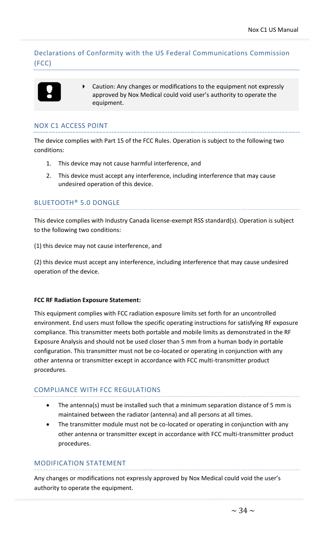Declarations of Conformity with the US Federal Communications Commission (FCC)

 Caution: Any changes or modifications to the equipment not expressly approved by Nox Medical could void user's authority to operate the equipment.

#### NOX C1 ACCESS POINT

The device complies with Part 15 of the FCC Rules. Operation is subject to the following two conditions:

- 1. This device may not cause harmful interference, and
- 2. This device must accept any interference, including interference that may cause undesired operation of this device.

#### BLUETOOTH® 5.0 DONGLE

This device complies with Industry Canada license-exempt RSS standard(s). Operation is subject to the following two conditions:

(1) this device may not cause interference, and

(2) this device must accept any interference, including interference that may cause undesired operation of the device.

#### **FCC RF Radiation Exposure Statement:**

This equipment complies with FCC radiation exposure limits set forth for an uncontrolled environment. End users must follow the specific operating instructions for satisfying RF exposure compliance. This transmitter meets both portable and mobile limits as demonstrated in the RF Exposure Analysis and should not be used closer than 5 mm from a human body in portable configuration. This transmitter must not be co-located or operating in conjunction with any other antenna or transmitter except in accordance with FCC multi-transmitter product procedures.

#### COMPLIANCE WITH FCC REGULATIONS

- The antenna(s) must be installed such that a minimum separation distance of 5 mm is maintained between the radiator (antenna) and all persons at all times.
- The transmitter module must not be co-located or operating in conjunction with any other antenna or transmitter except in accordance with FCC multi-transmitter product procedures.

#### MODIFICATION STATEMENT

Any changes or modifications not expressly approved by Nox Medical could void the user's authority to operate the equipment.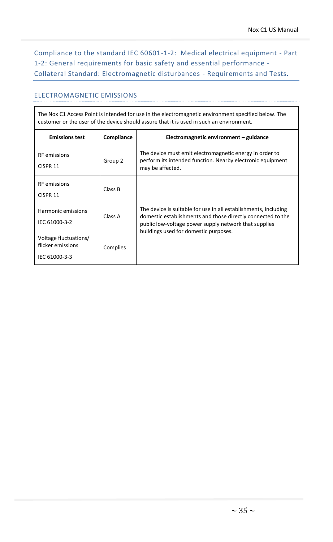Compliance to the standard IEC 60601-1-2: Medical electrical equipment - Part 1-2: General requirements for basic safety and essential performance - Collateral Standard: Electromagnetic disturbances - Requirements and Tests.

#### ELECTROMAGNETIC EMISSIONS

| The Nox C1 Access Point is intended for use in the electromagnetic environment specified below. The<br>customer or the user of the device should assure that it is used in such an environment. |            |                                                                                                                                                                                         |  |
|-------------------------------------------------------------------------------------------------------------------------------------------------------------------------------------------------|------------|-----------------------------------------------------------------------------------------------------------------------------------------------------------------------------------------|--|
| <b>Emissions test</b>                                                                                                                                                                           | Compliance | Electromagnetic environment – guidance                                                                                                                                                  |  |
| <b>RF</b> emissions<br>CISPR 11                                                                                                                                                                 | Group 2    | The device must emit electromagnetic energy in order to<br>perform its intended function. Nearby electronic equipment<br>may be affected.                                               |  |
| <b>RF</b> emissions<br>CISPR <sub>11</sub>                                                                                                                                                      | Class B    |                                                                                                                                                                                         |  |
| Harmonic emissions<br>IEC 61000-3-2                                                                                                                                                             | Class A    | The device is suitable for use in all establishments, including<br>domestic establishments and those directly connected to the<br>public low-voltage power supply network that supplies |  |
| Voltage fluctuations/<br>flicker emissions<br>IEC 61000-3-3                                                                                                                                     | Complies   | buildings used for domestic purposes.                                                                                                                                                   |  |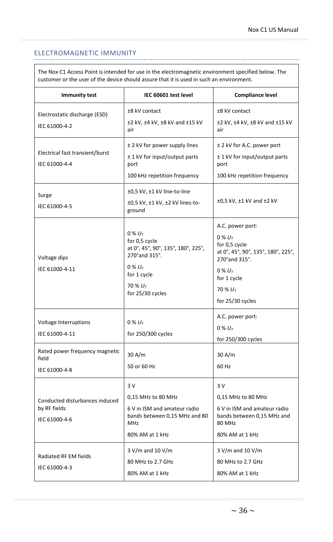#### ELECTROMAGNETIC IMMUNITY

The Nox C1 Access Point is intended for use in the electromagnetic environment specified below. The customer or the user of the device should assure that it is used in such an environment.

| <b>Immunity test</b>                                            | IEC 60601 test level                                                                                                                                  | <b>Compliance level</b>                                                                                                                                                |
|-----------------------------------------------------------------|-------------------------------------------------------------------------------------------------------------------------------------------------------|------------------------------------------------------------------------------------------------------------------------------------------------------------------------|
| Electrostatic discharge (ESD)<br>IEC 61000-4-2                  | ±8 kV contact<br>±2 kV, ±4 kV, ±8 kV and ±15 kV<br>air                                                                                                | ±8 kV contact<br>±2 kV, ±4 kV, ±8 kV and ±15 kV<br>air                                                                                                                 |
| Electrical fast transient/burst<br>IEC 61000-4-4                | ± 2 kV for power supply lines<br>± 1 kV for input/output parts<br>port<br>100 kHz repetition frequency                                                | ± 2 kV for A.C. power port<br>± 1 kV for input/output parts<br>port<br>100 kHz repetition frequency                                                                    |
| Surge<br>IEC 61000-4-5                                          | ±0,5 kV, ±1 kV line-to-line<br>±0,5 kV, ±1 kV, ±2 kV lines-to-<br>ground                                                                              | $\pm 0.5$ kV, $\pm 1$ kV and $\pm 2$ kV                                                                                                                                |
| Voltage dips<br>IEC 61000-4-11                                  | $0\% U_T$<br>for 0,5 cycle<br>at 0°, 45°, 90°, 135°, 180°, 225°,<br>270° and 315°.<br>$0\% U_t$<br>for 1 cycle<br>70 % $U_{\tau}$<br>for 25/30 cycles | A.C. power port:<br>0 % $U_{T}$<br>for 0,5 cycle<br>at 0°, 45°, 90°, 135°, 180°, 225°,<br>270° and 315°.<br>$0\% U_T$<br>for 1 cycle<br>70 % $U_T$<br>for 25/30 cycles |
| Voltage Interruptions<br>IEC 61000-4-11                         | $0\% U_T$<br>for 250/300 cycles                                                                                                                       | A.C. power port:<br>0 % $U_{T}$<br>for 250/300 cycles                                                                                                                  |
| Rated power frequency magnetic<br>field<br>IEC 61000-4-8        | 30 A/m<br>50 or 60 Hz                                                                                                                                 | 30 A/m<br>60 Hz                                                                                                                                                        |
| Conducted disturbances induced<br>by RF fields<br>IEC 61000-4-6 | 3 V<br>0,15 MHz to 80 MHz<br>6 V in ISM and amateur radio<br>bands between 0,15 MHz and 80<br>MHz<br>80% AM at 1 kHz                                  | 3V<br>0,15 MHz to 80 MHz<br>6 V in ISM and amateur radio<br>bands between 0,15 MHz and<br>80 MHz<br>80% AM at 1 kHz                                                    |
| Radiated RF EM fields<br>IEC 61000-4-3                          | 3 V/m and 10 V/m<br>80 MHz to 2.7 GHz<br>80% AM at 1 kHz                                                                                              | $3 V/m$ and $10 V/m$<br>80 MHz to 2.7 GHz<br>80% AM at 1 kHz                                                                                                           |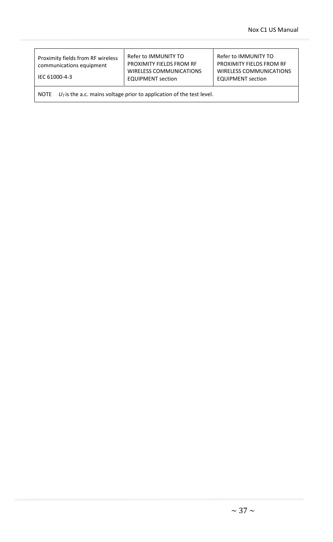| Proximity fields from RF wireless<br>communications equipment<br>IEC 61000-4-3 | Refer to IMMUNITY TO<br>PROXIMITY FIELDS FROM RF<br><b>WIRELESS COMMUNICATIONS</b><br><b>EQUIPMENT</b> section | Refer to IMMUNITY TO<br>PROXIMITY FIELDS FROM RF<br><b>WIRELESS COMMUNICATIONS</b><br><b>EQUIPMENT section</b> |  |  |
|--------------------------------------------------------------------------------|----------------------------------------------------------------------------------------------------------------|----------------------------------------------------------------------------------------------------------------|--|--|
| $UT$ is the a.c. mains voltage prior to application of the test level.<br>NOTE |                                                                                                                |                                                                                                                |  |  |